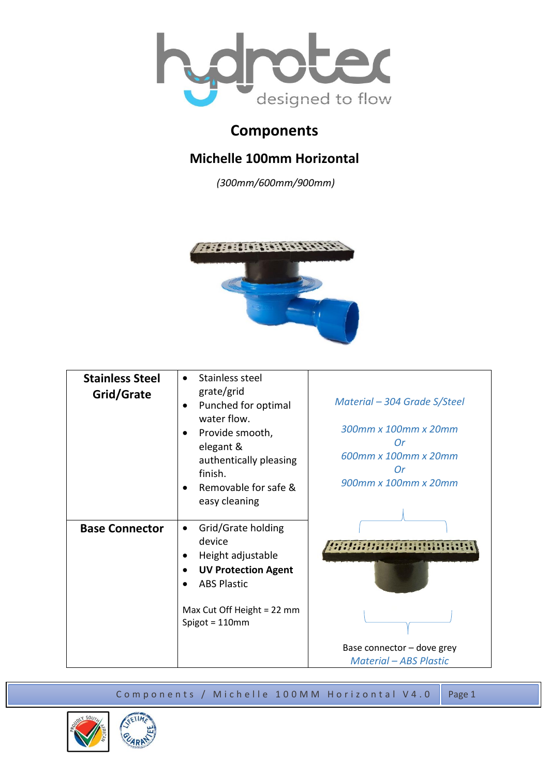

## **Components**

## **Michelle 100mm Horizontal**

*(300mm/600mm/900mm)*



| <b>Stainless Steel</b><br>Grid/Grate | Stainless steel<br>$\bullet$<br>grate/grid<br>Punched for optimal<br>water flow.<br>Provide smooth,<br>elegant &<br>authentically pleasing<br>finish.<br>Removable for safe &<br>easy cleaning | Material – 304 Grade S/Steel<br>300mm x 100mm x 20mm<br>Or<br>600mm x 100mm x 20mm<br>Оr<br>900mm x 100mm x 20mm |
|--------------------------------------|------------------------------------------------------------------------------------------------------------------------------------------------------------------------------------------------|------------------------------------------------------------------------------------------------------------------|
| <b>Base Connector</b>                | Grid/Grate holding<br>$\bullet$<br>device<br>Height adjustable<br><b>UV Protection Agent</b><br><b>ABS Plastic</b><br>Max Cut Off Height = 22 mm<br>Spigot = $110$ mm                          | Base connector - dove grey<br><b>Material - ABS Plastic</b>                                                      |

Components / Michelle 100MM Horizontal V4.0 Page1